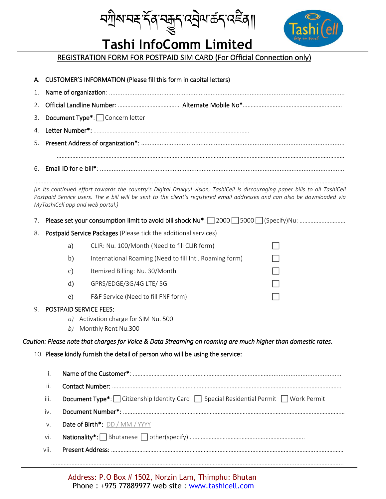*ম*শ্ৰীম'নহ'ৰ্ম্বৰ'ম্ক্ৰুম্'নহীম'ৰ্ক্ৰম্'নইৰ্∥



# **Tashi InfoComm Limited**

# REGISTRATION FORM FOR POSTPAID SIM CARD (For Official Connection only)

|              | A. CUSTOMER'S INFORMATION (Please fill this form in capital letters)                                                                                                                                                                                                                           |  |  |  |  |  |  |  |  |  |  |  |  |  |
|--------------|------------------------------------------------------------------------------------------------------------------------------------------------------------------------------------------------------------------------------------------------------------------------------------------------|--|--|--|--|--|--|--|--|--|--|--|--|--|
| 1.           |                                                                                                                                                                                                                                                                                                |  |  |  |  |  |  |  |  |  |  |  |  |  |
| 2.           |                                                                                                                                                                                                                                                                                                |  |  |  |  |  |  |  |  |  |  |  |  |  |
| 3.           | Document Type*: $\Box$ Concern letter                                                                                                                                                                                                                                                          |  |  |  |  |  |  |  |  |  |  |  |  |  |
| 4.           |                                                                                                                                                                                                                                                                                                |  |  |  |  |  |  |  |  |  |  |  |  |  |
| 5.           |                                                                                                                                                                                                                                                                                                |  |  |  |  |  |  |  |  |  |  |  |  |  |
| 6.           |                                                                                                                                                                                                                                                                                                |  |  |  |  |  |  |  |  |  |  |  |  |  |
|              | (In its continued effort towards the country's Digital Drukyul vision, TashiCell is discouraging paper bills to all TashiCell<br>Postpaid Service users. The e bill will be sent to the client's registered email addresses and can also be downloaded via<br>MyTashiCell app and web portal.) |  |  |  |  |  |  |  |  |  |  |  |  |  |
| $\sqrt{2}$ . | Please set your consumption limit to avoid bill shock Nu*: 2000 S000 Specify)Nu:                                                                                                                                                                                                               |  |  |  |  |  |  |  |  |  |  |  |  |  |
| 8.           | Postpaid Service Packages (Please tick the additional services)                                                                                                                                                                                                                                |  |  |  |  |  |  |  |  |  |  |  |  |  |
|              | CLIR: Nu. 100/Month (Need to fill CLIR form)<br>a)                                                                                                                                                                                                                                             |  |  |  |  |  |  |  |  |  |  |  |  |  |
|              | International Roaming (Need to fill Intl. Roaming form)<br>b)                                                                                                                                                                                                                                  |  |  |  |  |  |  |  |  |  |  |  |  |  |
|              | Itemized Billing: Nu. 30/Month<br>c)                                                                                                                                                                                                                                                           |  |  |  |  |  |  |  |  |  |  |  |  |  |
|              | GPRS/EDGE/3G/4G LTE/5G<br>$\rm d)$                                                                                                                                                                                                                                                             |  |  |  |  |  |  |  |  |  |  |  |  |  |
|              | F&F Service (Need to fill FNF form)<br>e)                                                                                                                                                                                                                                                      |  |  |  |  |  |  |  |  |  |  |  |  |  |
| 9.           | <b>POSTPAID SERVICE FEES:</b>                                                                                                                                                                                                                                                                  |  |  |  |  |  |  |  |  |  |  |  |  |  |
|              | a) Activation charge for SIM Nu. 500<br>Monthly Rent Nu.300<br>b)                                                                                                                                                                                                                              |  |  |  |  |  |  |  |  |  |  |  |  |  |
|              | Caution: Please note that charges for Voice & Data Streaming on roaming are much higher than domestic rates.                                                                                                                                                                                   |  |  |  |  |  |  |  |  |  |  |  |  |  |
|              | 10. Please kindly furnish the detail of person who will be using the service:                                                                                                                                                                                                                  |  |  |  |  |  |  |  |  |  |  |  |  |  |
|              |                                                                                                                                                                                                                                                                                                |  |  |  |  |  |  |  |  |  |  |  |  |  |
|              | i.                                                                                                                                                                                                                                                                                             |  |  |  |  |  |  |  |  |  |  |  |  |  |
|              | ii.                                                                                                                                                                                                                                                                                            |  |  |  |  |  |  |  |  |  |  |  |  |  |
|              | <b>Document Type*</b> :   Citizenship Identity Card   Special Residential Permit   Work Permit<br>iii.                                                                                                                                                                                         |  |  |  |  |  |  |  |  |  |  |  |  |  |
|              | iv.                                                                                                                                                                                                                                                                                            |  |  |  |  |  |  |  |  |  |  |  |  |  |
|              | Date of Birth*: DD / MM / YYYY<br>V.                                                                                                                                                                                                                                                           |  |  |  |  |  |  |  |  |  |  |  |  |  |
|              | vi.                                                                                                                                                                                                                                                                                            |  |  |  |  |  |  |  |  |  |  |  |  |  |
|              | vii.                                                                                                                                                                                                                                                                                           |  |  |  |  |  |  |  |  |  |  |  |  |  |
|              |                                                                                                                                                                                                                                                                                                |  |  |  |  |  |  |  |  |  |  |  |  |  |

Address: P.O Box # 1502, Norzin Lam, Thimphu: Bhutan Phone : +975 77889977 web site : www.tashicell.com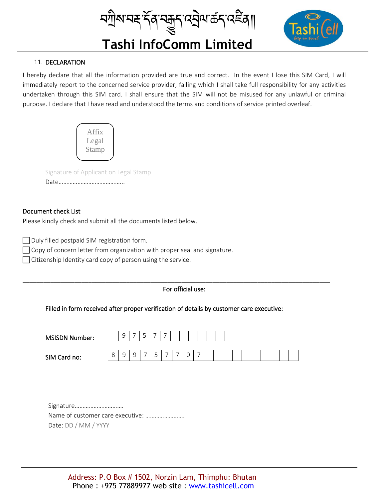*ম*ল্লীম'নহ'ৰ্ম্বস্মুদ্ৰুন্'ন্মৰীম'ৰ্ক্ৰন্'নেইৰ্∥



# **Tashi InfoComm Limited**

## 11. DECLARATION

I hereby declare that all the information provided are true and correct. In the event I lose this SIM Card, I will immediately report to the concerned service provider, failing which I shall take full responsibility for any activities undertaken through this SIM card. I shall ensure that the SIM will not be misused for any unlawful or criminal purpose. I declare that I have read and understood the terms and conditions of service printed overleaf.



Signature of Applicant on Legal Stamp

Date…………………………………...

### Document check List

Please kindly check and submit all the documents listed below.

 $\Box$  Duly filled postpaid SIM registration form.

 $\Box$  Copy of concern letter from organization with proper seal and signature.

Citizenship Identity card copy of person using the service.

### For official use:

\_\_\_\_\_\_\_\_\_\_\_\_\_\_\_\_\_\_\_\_\_\_\_\_\_\_\_\_\_\_\_\_\_\_\_\_\_\_\_\_\_\_\_\_\_\_\_\_\_\_\_\_\_\_\_\_\_\_\_\_\_\_\_\_\_\_\_\_\_\_\_\_\_\_\_\_\_\_\_\_\_\_\_\_\_\_\_\_\_

Filled in form received after proper verification of details by customer care executive:

| <b>MSISDN Number:</b> |              | C<br>$\tilde{\phantom{a}}$ |        | ٮ | - | - |   |   |  |  |  |  |  |  |
|-----------------------|--------------|----------------------------|--------|---|---|---|---|---|--|--|--|--|--|--|
| SIM Card no:          | $\circ$<br>Ŏ | ٠                          | ч<br>- |   | ٮ |   | - | U |  |  |  |  |  |  |

Signature…………………………. Name of customer care executive: ……………………. Date: DD / MM / YYYY